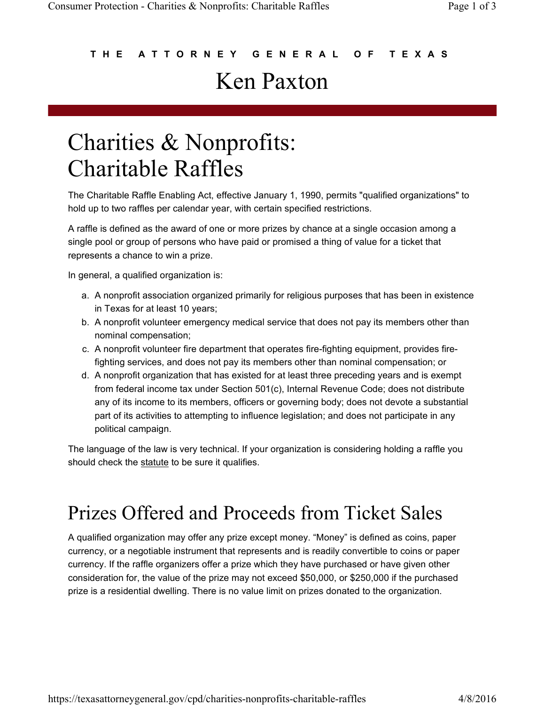### **T H E A T T O R N E Y G E N E R A L O F T E X A S** Ken Paxton

# Charities & Nonprofits: Charitable Raffles

The Charitable Raffle Enabling Act, effective January 1, 1990, permits "qualified organizations" to hold up to two raffles per calendar year, with certain specified restrictions.

A raffle is defined as the award of one or more prizes by chance at a single occasion among a single pool or group of persons who have paid or promised a thing of value for a ticket that represents a chance to win a prize.

In general, a qualified organization is:

- a. A nonprofit association organized primarily for religious purposes that has been in existence in Texas for at least 10 years;
- b. A nonprofit volunteer emergency medical service that does not pay its members other than nominal compensation;
- c. A nonprofit volunteer fire department that operates fire-fighting equipment, provides firefighting services, and does not pay its members other than nominal compensation; or
- d. A nonprofit organization that has existed for at least three preceding years and is exempt from federal income tax under Section 501(c), Internal Revenue Code; does not distribute any of its income to its members, officers or governing body; does not devote a substantial part of its activities to attempting to influence legislation; and does not participate in any political campaign.

The language of the law is very technical. If your organization is considering holding a raffle you should check the statute to be sure it qualifies.

## Prizes Offered and Proceeds from Ticket Sales

A qualified organization may offer any prize except money. "Money" is defined as coins, paper currency, or a negotiable instrument that represents and is readily convertible to coins or paper currency. If the raffle organizers offer a prize which they have purchased or have given other consideration for, the value of the prize may not exceed \$50,000, or \$250,000 if the purchased prize is a residential dwelling. There is no value limit on prizes donated to the organization.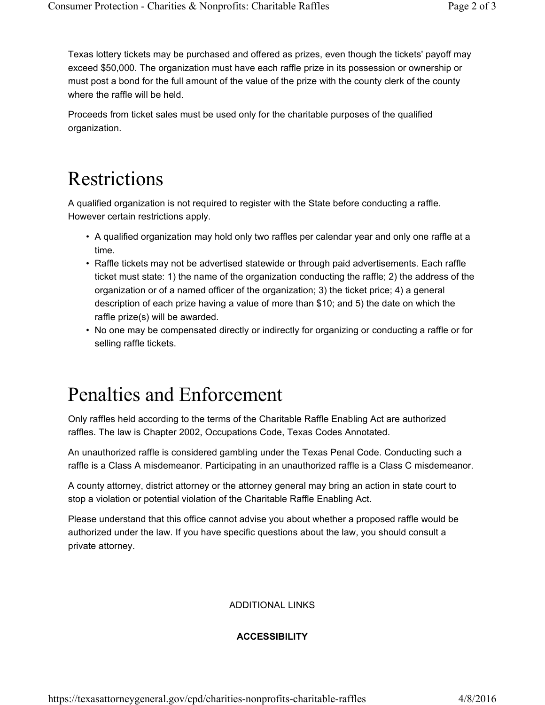Texas lottery tickets may be purchased and offered as prizes, even though the tickets' payoff may exceed \$50,000. The organization must have each raffle prize in its possession or ownership or must post a bond for the full amount of the value of the prize with the county clerk of the county where the raffle will be held.

Proceeds from ticket sales must be used only for the charitable purposes of the qualified organization.

### Restrictions

A qualified organization is not required to register with the State before conducting a raffle. However certain restrictions apply.

- A qualified organization may hold only two raffles per calendar year and only one raffle at a time.
- Raffle tickets may not be advertised statewide or through paid advertisements. Each raffle ticket must state: 1) the name of the organization conducting the raffle; 2) the address of the organization or of a named officer of the organization; 3) the ticket price; 4) a general description of each prize having a value of more than \$10; and 5) the date on which the raffle prize(s) will be awarded.
- No one may be compensated directly or indirectly for organizing or conducting a raffle or for selling raffle tickets.

## Penalties and Enforcement

Only raffles held according to the terms of the Charitable Raffle Enabling Act are authorized raffles. The law is Chapter 2002, Occupations Code, Texas Codes Annotated.

An unauthorized raffle is considered gambling under the Texas Penal Code. Conducting such a raffle is a Class A misdemeanor. Participating in an unauthorized raffle is a Class C misdemeanor.

A county attorney, district attorney or the attorney general may bring an action in state court to stop a violation or potential violation of the Charitable Raffle Enabling Act.

Please understand that this office cannot advise you about whether a proposed raffle would be authorized under the law. If you have specific questions about the law, you should consult a private attorney.

#### ADDITIONAL LINKS

### **ACCESSIBILITY**

https://texasattorneygeneral.gov/cpd/charities-nonprofits-charitable-raffles 4/8/2016